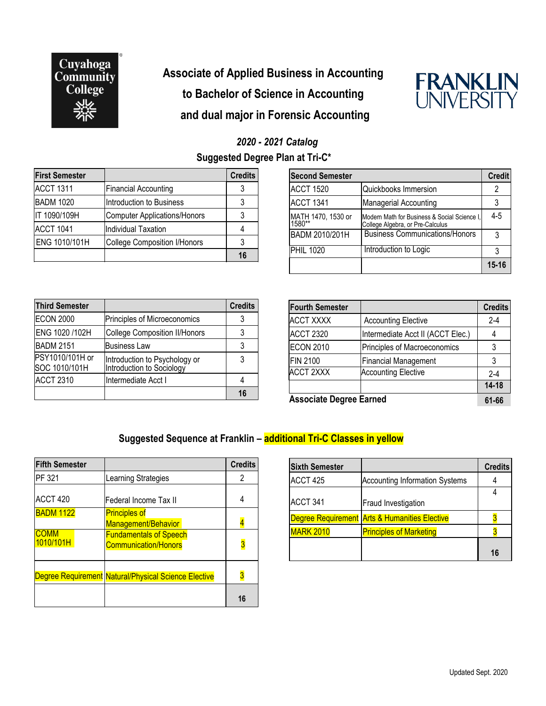

# **Associate of Applied Business in Accounting to Bachelor of Science in Accounting and dual major in Forensic Accounting**



### *2020 - 2021 Catalog* **Suggested Degree Plan at Tri-C\***

| <b>First Semester</b> |                                     | <b>Credits</b> |
|-----------------------|-------------------------------------|----------------|
| <b>ACCT 1311</b>      | <b>Financial Accounting</b>         |                |
| <b>BADM 1020</b>      | Introduction to Business            |                |
| IT 1090/109H          | Computer Applications/Honors        |                |
| <b>ACCT 1041</b>      | Individual Taxation                 |                |
| ENG 1010/101H         | <b>College Composition I/Honors</b> |                |
|                       |                                     | 16             |

| <b>Third Semester</b>            |                                                            | <b>Credits</b> |
|----------------------------------|------------------------------------------------------------|----------------|
| <b>ECON 2000</b>                 | Principles of Microeconomics                               |                |
| ENG 1020 /102H                   | <b>College Composition II/Honors</b>                       |                |
| <b>BADM 2151</b>                 | <b>Business Law</b>                                        |                |
| PSY1010/101H or<br>SOC 1010/101H | Introduction to Psychology or<br>Introduction to Sociology | 3              |
| <b>ACCT 2310</b>                 | Intermediate Acct I                                        |                |
|                                  |                                                            |                |

| <b>Second Semester</b>       |                                                                                  | <b>Credit</b> |
|------------------------------|----------------------------------------------------------------------------------|---------------|
| <b>ACCT 1520</b>             | Quickbooks Immersion                                                             | 2             |
| ACCT 1341                    | <b>Managerial Accounting</b>                                                     | 3             |
| MATH 1470, 1530 or<br>1580** | Modern Math for Business & Social Science I.<br>College Algebra, or Pre-Calculus | $4 - 5$       |
| BADM 2010/201H               | <b>Business Communications/Honors</b>                                            | 3             |
| <b>PHIL 1020</b>             | Introduction to Logic                                                            | 3             |
|                              |                                                                                  | $15 - 16$     |

| <b>Fourth Semester</b>         |                                   | <b>Credits</b> |
|--------------------------------|-----------------------------------|----------------|
| <b>ACCT XXXX</b>               | <b>Accounting Elective</b>        | $2 - 4$        |
| <b>ACCT 2320</b>               | Intermediate Acct II (ACCT Elec.) |                |
| <b>ECON 2010</b>               | Principles of Macroeconomics      | 3              |
| <b>FIN 2100</b>                | <b>Financial Management</b>       | 3              |
| <b>ACCT 2XXX</b>               | <b>Accounting Elective</b>        | $2 - 4$        |
|                                |                                   | $14 - 18$      |
| <b>Associate Degree Earned</b> |                                   | 61-66          |

#### **Suggested Sequence at Franklin – additional Tri-C Classes in yellow**

| <b>Fifth Semester</b> |                                                              | <b>Credits</b> |
|-----------------------|--------------------------------------------------------------|----------------|
| <b>PF 321</b>         | Learning Strategies                                          | 2              |
| ACCT 420              | Federal Income Tax II                                        |                |
| <b>BADM 1122</b>      | <b>Principles of</b><br>Management/Behavior                  |                |
| COMM<br>1010/101H     | <b>Fundamentals of Speech</b><br><b>Communication/Honors</b> |                |
|                       | Degree Requirement Natural/Physical Science Elective         |                |
|                       |                                                              | 16             |

| <b>Sixth Semester</b> |                                               | <b>Credits</b> |
|-----------------------|-----------------------------------------------|----------------|
| ACCT 425              | <b>Accounting Information Systems</b>         |                |
|                       |                                               |                |
| ACCT <sub>341</sub>   | Fraud Investigation                           |                |
|                       | Degree Requirement Arts & Humanities Elective |                |
| <b>MARK 2010</b>      | <b>Principles of Marketing</b>                |                |
|                       |                                               | 16             |